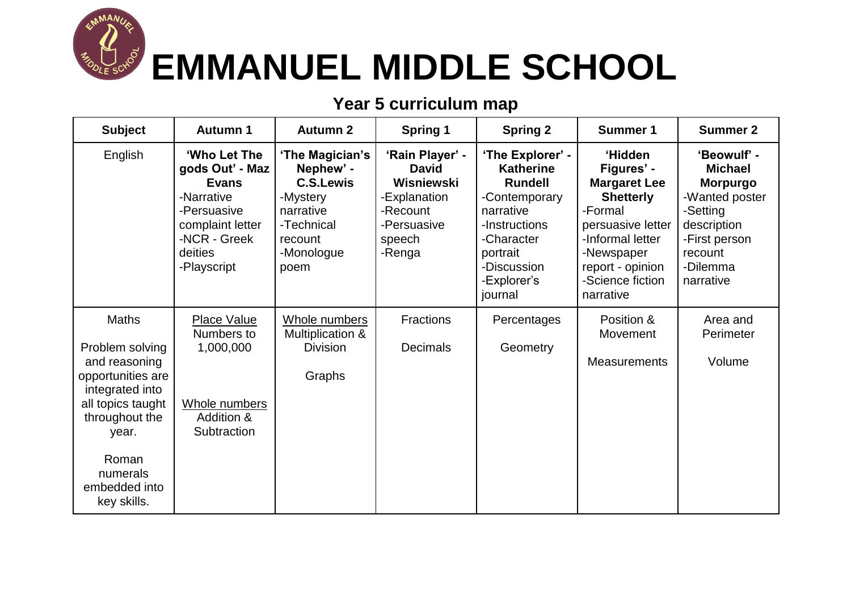

## **Year 5 curriculum map**

| <b>Subject</b>                                                                                                                                                                                | <b>Autumn 1</b>                                                                                                                            | <b>Autumn 2</b>                                                                                                          | <b>Spring 1</b>                                                                                              | <b>Spring 2</b>                                                                                                                                                          | <b>Summer 1</b>                                                                                                                                                                         | <b>Summer 2</b>                                                                                                                                    |
|-----------------------------------------------------------------------------------------------------------------------------------------------------------------------------------------------|--------------------------------------------------------------------------------------------------------------------------------------------|--------------------------------------------------------------------------------------------------------------------------|--------------------------------------------------------------------------------------------------------------|--------------------------------------------------------------------------------------------------------------------------------------------------------------------------|-----------------------------------------------------------------------------------------------------------------------------------------------------------------------------------------|----------------------------------------------------------------------------------------------------------------------------------------------------|
| English                                                                                                                                                                                       | 'Who Let The<br>gods Out' - Maz<br><b>Evans</b><br>-Narrative<br>-Persuasive<br>complaint letter<br>-NCR - Greek<br>deities<br>-Playscript | 'The Magician's<br>Nephew' -<br><b>C.S.Lewis</b><br>-Mystery<br>narrative<br>-Technical<br>recount<br>-Monologue<br>poem | 'Rain Player' -<br><b>David</b><br>Wisniewski<br>-Explanation<br>-Recount<br>-Persuasive<br>speech<br>-Renga | 'The Explorer' -<br><b>Katherine</b><br><b>Rundell</b><br>-Contemporary<br>narrative<br>-Instructions<br>-Character<br>portrait<br>-Discussion<br>-Explorer's<br>journal | 'Hidden<br>Figures' -<br><b>Margaret Lee</b><br><b>Shetterly</b><br>-Formal<br>persuasive letter<br>-Informal letter<br>-Newspaper<br>report - opinion<br>-Science fiction<br>narrative | 'Beowulf' -<br><b>Michael</b><br><b>Morpurgo</b><br>-Wanted poster<br>-Setting<br>description<br>-First person<br>recount<br>-Dilemma<br>narrative |
| <b>Maths</b><br>Problem solving<br>and reasoning<br>opportunities are<br>integrated into<br>all topics taught<br>throughout the<br>year.<br>Roman<br>numerals<br>embedded into<br>key skills. | <b>Place Value</b><br>Numbers to<br>1,000,000<br>Whole numbers<br>Addition &<br>Subtraction                                                | Whole numbers<br>Multiplication &<br><b>Division</b><br>Graphs                                                           | <b>Fractions</b><br><b>Decimals</b>                                                                          | Percentages<br>Geometry                                                                                                                                                  | Position &<br>Movement<br><b>Measurements</b>                                                                                                                                           | Area and<br>Perimeter<br>Volume                                                                                                                    |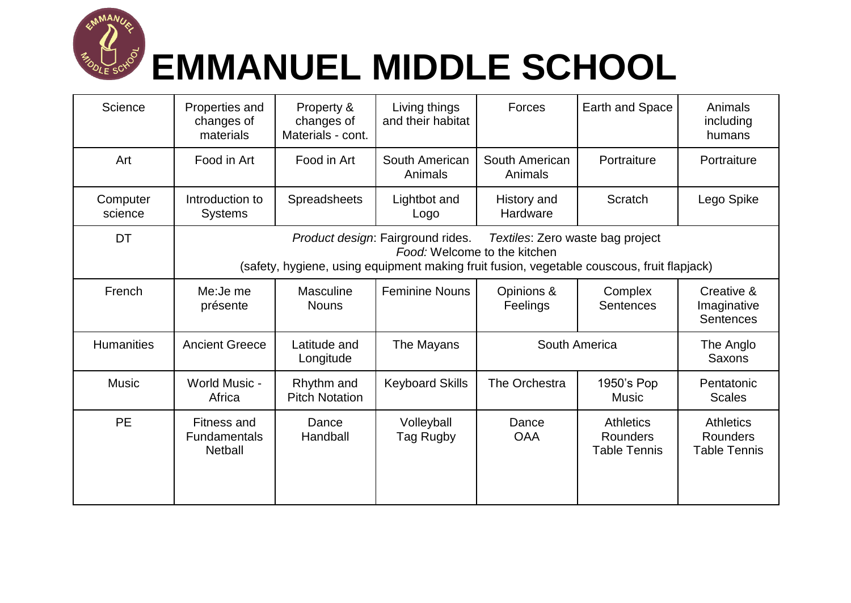

## **EMMANUEL MIDDLE SCHOOL**

| Science             | Properties and<br>changes of<br>materials                                                                                                                                                           | Property &<br>changes of<br>Materials - cont. | Living things<br>and their habitat | Forces                    | Earth and Space                                     | Animals<br>including<br>humans                      |  |
|---------------------|-----------------------------------------------------------------------------------------------------------------------------------------------------------------------------------------------------|-----------------------------------------------|------------------------------------|---------------------------|-----------------------------------------------------|-----------------------------------------------------|--|
| Art                 | Food in Art                                                                                                                                                                                         | Food in Art                                   | South American<br>Animals          | South American<br>Animals | Portraiture                                         | Portraiture                                         |  |
| Computer<br>science | Introduction to<br><b>Systems</b>                                                                                                                                                                   | Spreadsheets                                  | Lightbot and<br>Logo               | History and<br>Hardware   | Scratch                                             | Lego Spike                                          |  |
| DT                  | Product design: Fairground rides.<br>Textiles: Zero waste bag project<br>Food: Welcome to the kitchen<br>(safety, hygiene, using equipment making fruit fusion, vegetable couscous, fruit flapjack) |                                               |                                    |                           |                                                     |                                                     |  |
| French              | Me: Je me<br>présente                                                                                                                                                                               | <b>Masculine</b><br><b>Nouns</b>              | <b>Feminine Nouns</b>              | Opinions &<br>Feelings    | Complex<br><b>Sentences</b>                         | Creative &<br>Imaginative<br><b>Sentences</b>       |  |
| <b>Humanities</b>   | <b>Ancient Greece</b>                                                                                                                                                                               | Latitude and<br>Longitude                     | The Mayans                         | South America             |                                                     | The Anglo<br>Saxons                                 |  |
| <b>Music</b>        | <b>World Music -</b><br>Africa                                                                                                                                                                      | Rhythm and<br><b>Pitch Notation</b>           | <b>Keyboard Skills</b>             | The Orchestra             | 1950's Pop<br><b>Music</b>                          | Pentatonic<br><b>Scales</b>                         |  |
| <b>PE</b>           | <b>Fitness and</b><br><b>Fundamentals</b><br><b>Netball</b>                                                                                                                                         | Dance<br>Handball                             | Volleyball<br>Tag Rugby            | Dance<br><b>OAA</b>       | <b>Athletics</b><br>Rounders<br><b>Table Tennis</b> | <b>Athletics</b><br>Rounders<br><b>Table Tennis</b> |  |